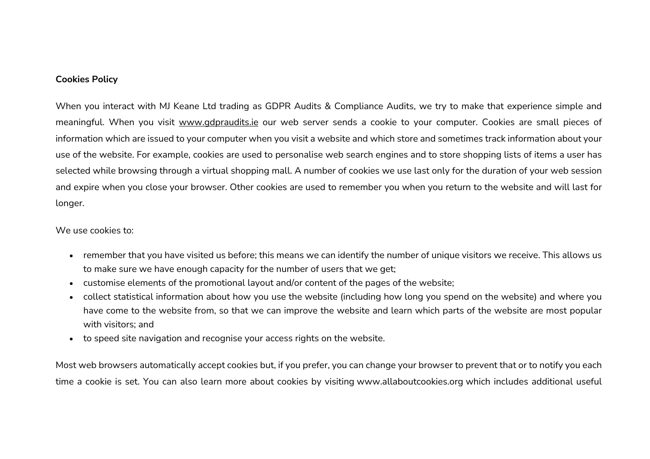## **Cookies Policy**

When you interact with MJ Keane Ltd trading as GDPR Audits & Compliance Audits, we try to make that experience simple and meaningful. When you visit www.gdpraudits.ie our web server sends a cookie to your computer. Cookies are small pieces of information which are issued to your computer when you visit a website and which store and sometimes track information about your use of the website. For example, cookies are used to personalise web search engines and to store shopping lists of items a user has selected while browsing through a virtual shopping mall. A number of cookies we use last only for the duration of your web session and expire when you close your browser. Other cookies are used to remember you when you return to the website and will last for longer.

## We use cookies to:

- remember that you have visited us before; this means we can identify the number of unique visitors we receive. This allows us to make sure we have enough capacity for the number of users that we get;
- customise elements of the promotional layout and/or content of the pages of the website;
- collect statistical information about how you use the website (including how long you spend on the website) and where you have come to the website from, so that we can improve the website and learn which parts of the website are most popular with visitors; and
- to speed site navigation and recognise your access rights on the website.

Most web browsers automatically accept cookies but, if you prefer, you can change your browser to prevent that or to notify you each time a cookie is set. You can also learn more about cookies by visiting www.allaboutcookies.org which includes additional useful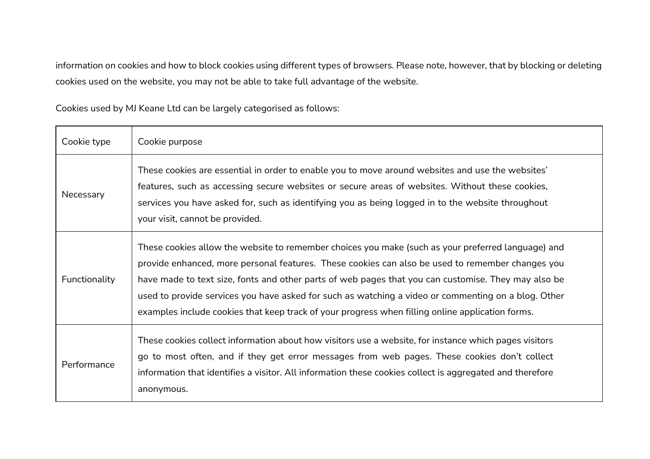information on cookies and how to block cookies using different types of browsers. Please note, however, that by blocking or deleting cookies used on the website, you may not be able to take full advantage of the website.

Cookies used by MJ Keane Ltd can be largely categorised as follows:

| Cookie type   | Cookie purpose                                                                                                                                                                                                                                                                                                                                                                                                                                                                                                           |
|---------------|--------------------------------------------------------------------------------------------------------------------------------------------------------------------------------------------------------------------------------------------------------------------------------------------------------------------------------------------------------------------------------------------------------------------------------------------------------------------------------------------------------------------------|
| Necessary     | These cookies are essential in order to enable you to move around websites and use the websites'<br>features, such as accessing secure websites or secure areas of websites. Without these cookies,<br>services you have asked for, such as identifying you as being logged in to the website throughout<br>your visit, cannot be provided.                                                                                                                                                                              |
| Functionality | These cookies allow the website to remember choices you make (such as your preferred language) and<br>provide enhanced, more personal features. These cookies can also be used to remember changes you<br>have made to text size, fonts and other parts of web pages that you can customise. They may also be<br>used to provide services you have asked for such as watching a video or commenting on a blog. Other<br>examples include cookies that keep track of your progress when filling online application forms. |
| Performance   | These cookies collect information about how visitors use a website, for instance which pages visitors<br>go to most often, and if they get error messages from web pages. These cookies don't collect<br>information that identifies a visitor. All information these cookies collect is aggregated and therefore<br>anonymous.                                                                                                                                                                                          |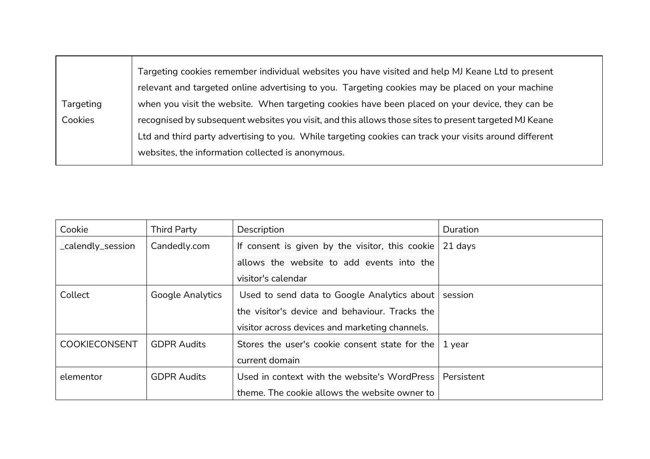|           | Targeting cookies remember individual websites you have visited and help MJ Keane Ltd to present       |
|-----------|--------------------------------------------------------------------------------------------------------|
|           | relevant and targeted online advertising to you. Targeting cookies may be placed on your machine       |
| Targeting | when you visit the website. When targeting cookies have been placed on your device, they can be        |
| Cookies   | recognised by subsequent websites you visit, and this allows those sites to present targeted MJ Keane  |
|           | Ltd and third party advertising to you. While targeting cookies can track your visits around different |
|           | websites, the information collected is anonymous.                                                      |
|           |                                                                                                        |

| Cookie               | <b>Third Party</b>      | Description                                     | Duration   |
|----------------------|-------------------------|-------------------------------------------------|------------|
| _calendly_session    | Candedly.com            | If consent is given by the visitor, this cookie | 21 days    |
|                      |                         | allows the website to add events into the       |            |
|                      |                         | visitor's calendar                              |            |
| Collect              | <b>Google Analytics</b> | Used to send data to Google Analytics about     | session    |
|                      |                         | the visitor's device and behaviour. Tracks the  |            |
|                      |                         | visitor across devices and marketing channels.  |            |
| <b>COOKIECONSENT</b> | <b>GDPR Audits</b>      | Stores the user's cookie consent state for the  | 1 year     |
|                      |                         | current domain                                  |            |
| elementor            | <b>GDPR Audits</b>      | Used in context with the website's WordPress    | Persistent |
|                      |                         | theme. The cookie allows the website owner to   |            |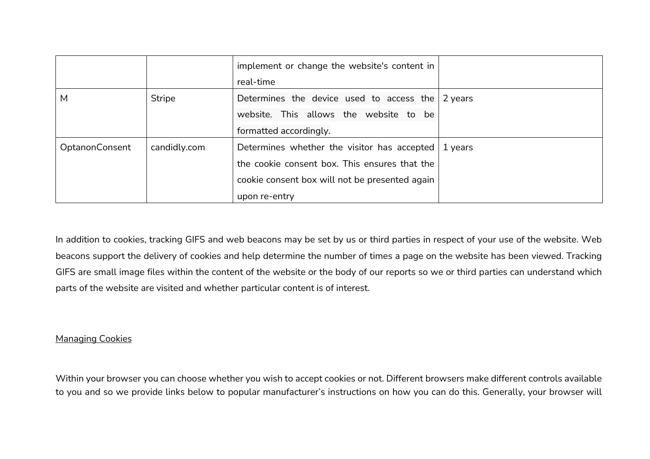|                |              | implement or change the website's content in<br>real-time |         |
|----------------|--------------|-----------------------------------------------------------|---------|
| M              | Stripe       | Determines the device used to access the                  | 2 years |
|                |              | website. This allows the website to be                    |         |
|                |              | formatted accordingly.                                    |         |
| OptanonConsent | candidly.com | Determines whether the visitor has accepted               | 1 years |
|                |              | the cookie consent box. This ensures that the             |         |
|                |              | cookie consent box will not be presented again            |         |
|                |              | upon re-entry                                             |         |

In addition to cookies, tracking GIFS and web beacons may be set by us or third parties in respect of your use of the website. Web beacons support the delivery of cookies and help determine the number of times a page on the website has been viewed. Tracking GIFS are small image files within the content of the website or the body of our reports so we or third parties can understand which parts of the website are visited and whether particular content is of interest.

## Managing Cookies

Within your browser you can choose whether you wish to accept cookies or not. Different browsers make different controls available to you and so we provide links below to popular manufacturer's instructions on how you can do this. Generally, your browser will